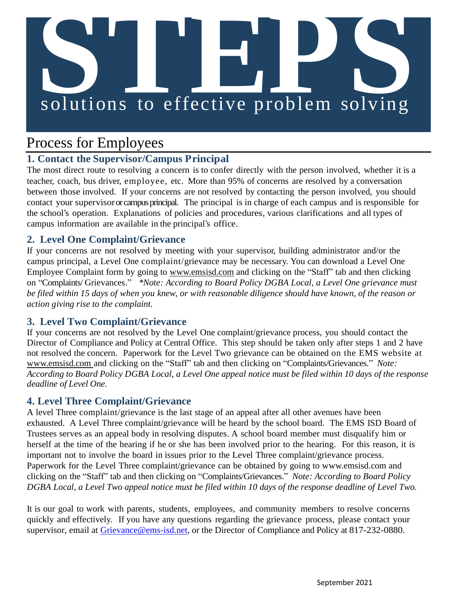# **S**<br> **Solutions** to effective problem solving

# Process for Employees

# **1. Contact the Supervisor/Campus Principal**

The most direct route to resolving a concern is to confer directly with the person involved, whether it is a teacher, coach, bus driver, employee, etc. More than 95% of concerns are resolved by a conversation between those involved. If your concerns are not resolved by contacting the person involved, you should contact your supervisoror campus principal. The principal is in charge of each campus and is responsible for the school's operation. Explanations of policies and procedures, various clarifications and all types of campus information are available in the principal's office.

# **2. Level One Complaint/Grievance**

If your concerns are not resolved by meeting with your supervisor, building administrator and/or the campus principal, a Level One complaint/grievance may be necessary. You can download a Level One Employee Complaint form by going to [www.emsisd.com](http://www.emsisd.com/) and clicking on the "Staff" tab and then clicking on "Complaints/ Grievances." *\*Note: According to Board Policy DGBA Local, a Level One grievance must be filed within 15 days of when you knew, or with reasonable diligence should have known, of the reason or action giving rise to the complaint.*

### **3. Level Two Complaint/Grievance**

If your concerns are not resolved by the Level One complaint/grievance process, you should contact the Director of Compliance and Policy at Central Office. This step should be taken only after steps 1 and 2 have not resolved the concern. Paperwork for the Level Two grievance can be obtained on the EMS website at [www.emsisd.com a](http://www.emsisd.com/)nd clicking on the "Staff" tab and then clicking on "Complaints/Grievances." *Note:* According to Board Policy DGBA Local, a Level One appeal notice must be filed within 10 days of the response *deadline of Level One.*

### **4. Level Three Complaint/Grievance**

A level Three complaint/grievance is the last stage of an appeal after all other avenues have been exhausted. A Level Three complaint/grievance will be heard by the school board. The EMS ISD Board of Trustees serves as an appeal body in resolving disputes. A school board member must disqualify him or herself at the time of the hearing if he or she has been involved prior to the hearing. For this reason, it is important not to involve the board in issues prior to the Level Three complaint/grievance process. Paperwork for the Level Three complaint/grievance can be obtained by going to [www.emsisd.com](http://www.emsisd.com/) and clicking on the "Staff" tab and then clicking on "Complaints/Grievances." *Note: According to Board Policy DGBA Local, a Level Two appeal notice must be filed within 10 days of the response deadline of Level Two.*

It is our goal to work with parents, students, employees, and community members to resolve concerns quickly and effectively. If you have any questions regarding the grievance process, please contact your supervisor, email at Grievance @ems-isd.net, or the Director of Compliance and Policy at 817-232-0880.